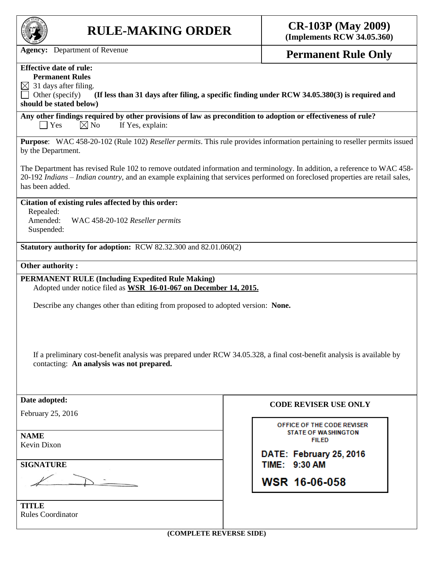

## **RULE-MAKING ORDER CR-103P (May 2009)**

**(Implements RCW 34.05.360)**

Agency: Department of Revenue **Permanent Rule Only** 

## **Effective date of rule:**

**Permanent Rules**

 $\boxtimes$  31 days after filing.

Other (specify) **(If less than 31 days after filing, a specific finding under RCW 34.05.380(3) is required and should be stated below)**

**Any other findings required by other provisions of law as precondition to adoption or effectiveness of rule?**  $\Box$  Yes  $\boxtimes$  No If Yes, explain:

**Purpose**: WAC 458-20-102 (Rule 102) *Reseller permits*. This rule provides information pertaining to reseller permits issued by the Department.

The Department has revised Rule 102 to remove outdated information and terminology. In addition, a reference to WAC 458- 20-192 *Indians – Indian country,* and an example explaining that services performed on foreclosed properties are retail sales, has been added.

## **Citation of existing rules affected by this order:**

Repealed:

Amended: WAC 458-20-102 *Reseller permits* Suspended:

**Statutory authority for adoption:** RCW 82.32.300 and 82.01.060(2)

## **Other authority :**

**PERMANENT RULE (Including Expedited Rule Making)** Adopted under notice filed as **WSR 16-01-067 on December 14, 2015.**

Describe any changes other than editing from proposed to adopted version: **None.**

If a preliminary cost-benefit analysis was prepared under RCW 34.05.328, a final cost-benefit analysis is available by contacting: **An analysis was not prepared.**

| Date adopted:            | <b>CODE REVISER USE ONLY</b>               |
|--------------------------|--------------------------------------------|
| February 25, 2016        |                                            |
|                          | OFFICE OF THE CODE REVISER                 |
| <b>NAME</b>              | <b>STATE OF WASHINGTON</b><br><b>FILED</b> |
| Kevin Dixon              |                                            |
|                          | DATE: February 25, 2016                    |
| <b>SIGNATURE</b>         | TIME: 9:30 AM                              |
|                          | WSR 16-06-058                              |
|                          |                                            |
| <b>TITLE</b>             |                                            |
| <b>Rules Coordinator</b> |                                            |
|                          |                                            |
| (COMPLETE REVERSE SIDE)  |                                            |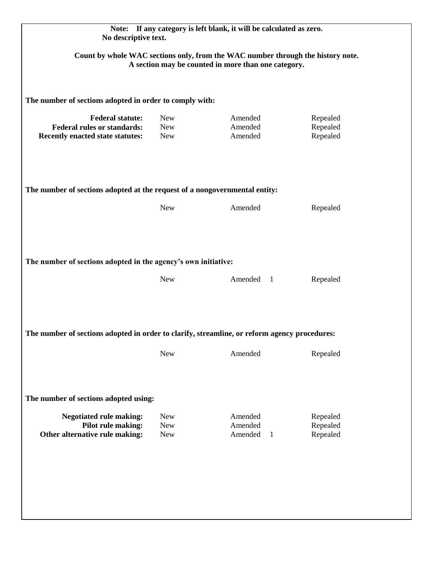| Count by whole WAC sections only, from the WAC number through the history note.<br>A section may be counted in more than one category. |                                        |                               |                                  |  |
|----------------------------------------------------------------------------------------------------------------------------------------|----------------------------------------|-------------------------------|----------------------------------|--|
| The number of sections adopted in order to comply with:                                                                                |                                        |                               |                                  |  |
| <b>Federal statute:</b><br><b>Federal rules or standards:</b><br>Recently enacted state statutes:                                      | <b>New</b><br><b>New</b><br><b>New</b> | Amended<br>Amended<br>Amended | Repealed<br>Repealed<br>Repealed |  |
| The number of sections adopted at the request of a nongovernmental entity:                                                             |                                        |                               |                                  |  |
|                                                                                                                                        | <b>New</b>                             | Amended                       | Repealed                         |  |
| The number of sections adopted in the agency's own initiative:                                                                         |                                        |                               |                                  |  |
|                                                                                                                                        | <b>New</b>                             | Amended 1                     | Repealed                         |  |
| The number of sections adopted in order to clarify, streamline, or reform agency procedures:                                           |                                        |                               |                                  |  |
|                                                                                                                                        | <b>New</b>                             | Amended                       | Repealed                         |  |
| The number of sections adopted using:                                                                                                  |                                        |                               |                                  |  |
|                                                                                                                                        |                                        |                               | Repealed                         |  |
| <b>Negotiated rule making:</b><br>Pilot rule making:                                                                                   | <b>New</b><br><b>New</b>               | Amended<br>Amended            | Repealed                         |  |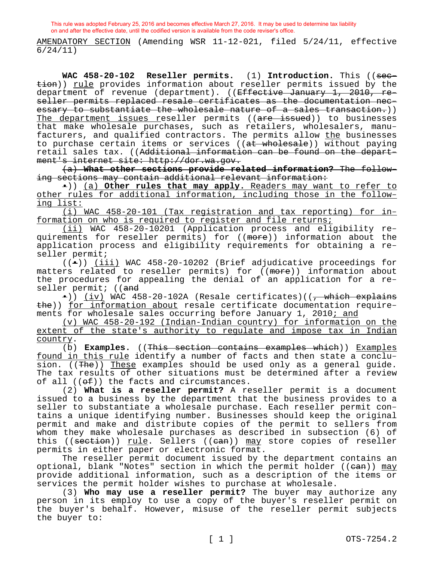AMENDATORY SECTION (Amending WSR 11-12-021, filed 5/24/11, effective 6/24/11)

**WAC 458-20-102 Reseller permits.** (1) **Introduction.** This ((section)) rule provides information about reseller permits issued by the department of revenue (department). ((<del>Effective January 1, 2010, re-</del> seller permits replaced resale certificates as the documentation necessary to substantiate the wholesale nature of a sales transaction.)) The department issues reseller permits ((are issued)) to businesses that make wholesale purchases, such as retailers, wholesalers, manufacturers, and qualified contractors. The permits allow <u>the</u> businesses to purchase certain items or services ((at wholesale)) without paying retail sales tax. ((Additional information can be found on the department's internet site: http://dor.wa.gov.

(a) **What other sections provide related information?** The following sections may contain additional relevant information:

•)) (a) **Other rules that may apply.** Readers may want to refer to other rules for additional information, including those in the following list:

(i) WAC 458-20-101 (Tax registration and tax reporting) for information on who is required to register and file returns;

(ii) WAC 458-20-10201 (Application process and eligibility requirements for reseller permits) for ((more)) information about the application process and eligibility requirements for obtaining a reseller permit;

 $((\bullet))$  (iii) WAC 458-20-10202 (Brief adjudicative proceedings for matters related to reseller permits) for ((more)) information about the procedures for appealing the denial of an application for a reseller permit; ((and

 $\bullet$ )) (iv) WAC 458-20-102A (Resale certificates)((<del>, which explains</del> the)) for information about resale certificate documentation requirements for wholesale sales occurring before January 1, 2010; and

(v) WAC 458-20-192 (Indian-Indian country) for information on the extent of the state's authority to regulate and impose tax in Indian country.

(b) **Examples.** ((This section contains examples which)) Examples found in this rule identify a number of facts and then state a conclusion. ((The)) These examples should be used only as a general guide. The tax results of other situations must be determined after a review of all  $((\theta \oplus f))$  the facts and circumstances.

(2) **What is a reseller permit?** A reseller permit is a document issued to a business by the department that the business provides to a seller to substantiate a wholesale purchase. Each reseller permit contains a unique identifying number. Businesses should keep the original permit and make and distribute copies of the permit to sellers from whom they make wholesale purchases as described in subsection (6) of this ((section)) rule. Sellers ((can)) may store copies of reseller permits in either paper or electronic format.

The reseller permit document issued by the department contains an optional, blank "Notes" section in which the permit holder (( $e$ an)) may provide additional information, such as a description of the items or services the permit holder wishes to purchase at wholesale.

(3) **Who may use a reseller permit?** The buyer may authorize any person in its employ to use a copy of the buyer's reseller permit on the buyer's behalf. However, misuse of the reseller permit subjects the buyer to: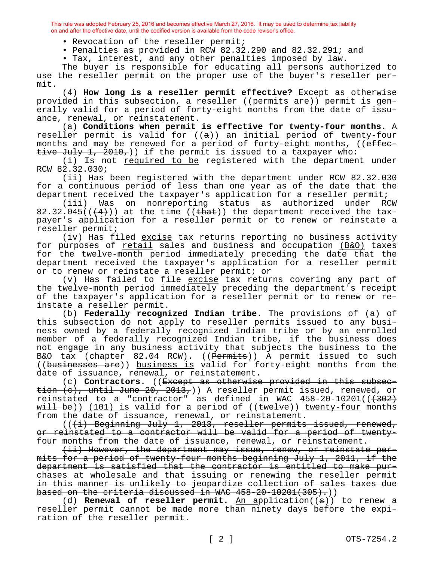- Revocation of the reseller permit;
- Penalties as provided in RCW 82.32.290 and 82.32.291; and
- Tax, interest, and any other penalties imposed by law.

The buyer is responsible for educating all persons authorized to use the reseller permit on the proper use of the buyer's reseller permit.

(4) **How long is a reseller permit effective?** Except as otherwise provided in this subsection, a reseller ((permits are)) permit is generally valid for a period of forty-eight months from the date of issuance, renewal, or reinstatement.

(a) **Conditions when permit is effective for twenty-four months.** A reseller permit is valid for  $((a))$  an initial period of twenty-four months and may be renewed for a period of forty-eight months, ((effective July 1, 2010,)) if the permit is issued to a taxpayer who:

(i) Is not required to be registered with the department under RCW 82.32.030;

(ii) Has been registered with the department under RCW 82.32.030 for a continuous period of less than one year as of the date that the department received the taxpayer's application for a reseller permit;

(iii) Was on nonreporting status as authorized under RCW 82.32.045( $($  $($  $\{4})$ )) at the time ( $($  $t$  $)$ ) the department received the taxpayer's application for a reseller permit or to renew or reinstate a reseller permit;

(iv) Has filed excise tax returns reporting no business activity for purposes of retail sales and business and occupation (B&O) taxes for the twelve-month period immediately preceding the date that the department received the taxpayer's application for a reseller permit or to renew or reinstate a reseller permit; or

(v) Has failed to file  $excise$  tax returns covering any part of the twelve-month period immediately preceding the department's receipt of the taxpayer's application for a reseller permit or to renew or reinstate a reseller permit.

(b) **Federally recognized Indian tribe.** The provisions of (a) of this subsection do not apply to reseller permits issued to any business owned by a federally recognized Indian tribe or by an enrolled member of a federally recognized Indian tribe, if the business does not engage in any business activity that subjects the business to the B&O tax (chapter 82.04 RCW). ((Permits)) A permit issued to such ((businesses are)) business is valid for forty-eight months from the date of issuance, renewal, or reinstatement.

(c) **Contractors.** ((Except as otherwise provided in this subsection  $(e)$ , until June 20, 2013,)) A reseller permit issued, renewed, or reinstated to a "contractor" as defined in WAC  $458-20-10201$  ( $(302)$ ) will be)) (101) is valid for a period of ((twelve)) twenty-four months from the date of issuance, renewal, or reinstatement.

((<del>(i) Beginning July 1, 2013, reseller permits issued, renewed,</del> or reinstated to a contractor will be valid for a period of twentyfour months from the date of issuance, renewal, or reinstatement.

(ii) However, the department may issue, renew, or reinstate permits for a period of twenty-four months beginning July 1, 2011, if the department is satisfied that the contractor is entitled to make purchases at wholesale and that issuing or renewing the reseller permit in this manner is unlikely to jeopardize collection of sales taxes due based on the criteria discussed in WAC  $458-20-10201(305)$ .)

(d) **Renewal of reseller permit.** An application((s)) to renew a reseller permit cannot be made more than ninety days before the expiration of the reseller permit.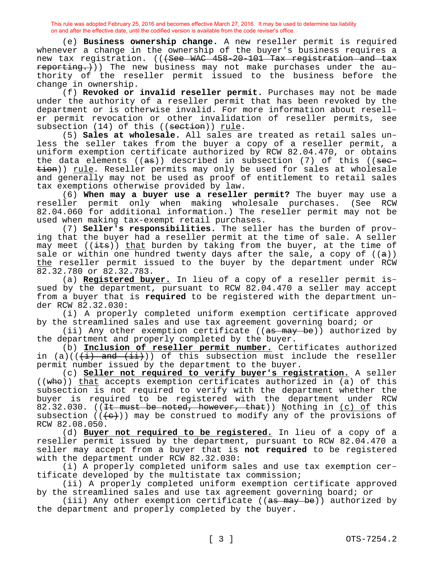(e) **Business ownership change.** A new reseller permit is required whenever a change in the ownership of the buyer's business requires a new tax registration. (((See WAC 458-20-101 Tax registration and tax reporting.)) The new business may not make purchases under the authority of the reseller permit issued to the business before the change in ownership.

(f) **Revoked or invalid reseller permit.** Purchases may not be made under the authority of a reseller permit that has been revoked by the department or is otherwise invalid. For more information about reseller permit revocation or other invalidation of reseller permits, see subsection (14) of this ((section)) rule.

(5) **Sales at wholesale.** All sales are treated as retail sales unless the seller takes from the buyer a copy of a reseller permit, a uniform exemption certificate authorized by RCW 82.04.470, or obtains the data elements ( $(a\sigma)$ ) described in subsection (7) of this ( $(a\sigma)$ tion)) rule. Reseller permits may only be used for sales at wholesale and generally may not be used as proof of entitlement to retail sales tax exemptions otherwise provided by law.

(6) **When may a buyer use a reseller permit?** The buyer may use a reseller permit only when making wholesale purchases. (See RCW 82.04.060 for additional information.) The reseller permit may not be used when making tax-exempt retail purchases.

(7) **Seller's responsibilities.** The seller has the burden of proving that the buyer had a reseller permit at the time of sale. A seller may meet  $((i$ ts)) that burden by taking from the buyer, at the time of sale or within one hundred twenty days after the sale, a copy of  $((a))$ the reseller permit issued to the buyer by the department under RCW 82.32.780 or 82.32.783.

(a) **Registered buyer.** In lieu of a copy of a reseller permit issued by the department, pursuant to RCW 82.04.470 a seller may accept from a buyer that is **required** to be registered with the department under RCW 82.32.030:

(i) A properly completed uniform exemption certificate approved by the streamlined sales and use tax agreement governing board; or

(ii) Any other exemption certificate ((as may be)) authorized by the department and properly completed by the buyer.

(b) **Inclusion of reseller permit number.** Certificates authorized in (a)( $(\frac{1}{i})$  and  $(\frac{1}{i})$ ) of this subsection must include the reseller permit number issued by the department to the buyer.

(c) **Seller not required to verify buyer's registration.** A seller ((who)) that accepts exemption certificates authorized in (a) of this subsection is not required to verify with the department whether the buyer is required to be registered with the department under RCW 82.32.030. ((It must be noted, however, that)) Nothing in (c) of this subsection  $((e))$  may be construed to modify any of the provisions of RCW 82.08.050.

(d) **Buyer not required to be registered.** In lieu of a copy of a reseller permit issued by the department, pursuant to RCW 82.04.470 a seller may accept from a buyer that is **not required** to be registered with the department under RCW 82.32.030:

(i) A properly completed uniform sales and use tax exemption certificate developed by the multistate tax commission;

(ii) A properly completed uniform exemption certificate approved by the streamlined sales and use tax agreement governing board; or

(iii) Any other exemption certificate ((as may be)) authorized by the department and properly completed by the buyer.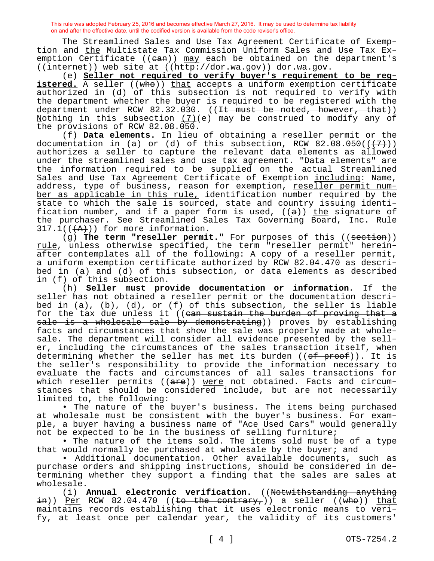The Streamlined Sales and Use Tax Agreement Certificate of Exemption and the Multistate Tax Commission Uniform Sales and Use Tax Exemption Certificate ((ean)) may each be obtained on the department's ((internet)) web site at ((http://dor.wa.gov)) dor.wa.gov.

(e) **Seller not required to verify buyer's requirement to be reg**istered. A seller ((who)) that accepts a uniform exemption certificate authorized in (d) of this subsection is not required to verify with the department whether the buyer is required to be registered with the department under RCW  $82.32.030.$  ((It must be noted, however, that)) Nothing in this subsection  $(7)$  (e) may be construed to modify any of the provisions of RCW 82.08.050.

(f) **Data elements.** In lieu of obtaining a reseller permit or the documentation in (a) or (d) of this subsection, RCW  $82.08.050((+7))$ authorizes a seller to capture the relevant data elements as allowed under the streamlined sales and use tax agreement. "Data elements" are the information required to be supplied on the actual Streamlined Sales and Use Tax Agreement Certificate of Exemption including: Name, address, type of business, reason for exemption, reseller permit number as applicable in this rule, identification number required by the state to which the sale is sourced, state and country issuing identification number, and if a paper form is used,  $((a))$  the signature of the purchaser. See Streamlined Sales Tax Governing Board, Inc. Rule  $317.1$ ( $(\overbrace{A})$ )) for more information.

(g) The term "reseller permit." For purposes of this ((section)) rule, unless otherwise specified, the term "reseller permit" hereinafter contemplates all of the following: A copy of a reseller permit, a uniform exemption certificate authorized by RCW 82.04.470 as described in (a) and (d) of this subsection, or data elements as described in (f) of this subsection.

(h) **Seller must provide documentation or information.** If the seller has not obtained a reseller permit or the documentation described in  $(a)$ ,  $(b)$ ,  $(d)$ , or  $(f)$  of this subsection, the seller is liable for the tax due unless it ((can sustain the burden of proving that a sale is a wholesale sale by demonstrating)) proves by establishing facts and circumstances that show the sale was properly made at wholesale. The department will consider all evidence presented by the seller, including the circumstances of the sales transaction itself, when determining whether the seller has met its burden  $((of *proof*)))$ . It is the seller's responsibility to provide the information necessary to evaluate the facts and circumstances of all sales transactions for which reseller permits ((are)) were not obtained. Facts and circumstances that should be considered include, but are not necessarily limited to, the following:

• The nature of the buyer's business. The items being purchased at wholesale must be consistent with the buyer's business. For example, a buyer having a business name of "Ace Used Cars" would generally not be expected to be in the business of selling furniture;

• The nature of the items sold. The items sold must be of a type that would normally be purchased at wholesale by the buyer; and

• Additional documentation. Other available documents, such as purchase orders and shipping instructions, should be considered in determining whether they support a finding that the sales are sales at wholesale.

(i) **Annual electronic verification.** ((Notwithstanding anything  $\frac{1}{2}$ )) <u>Per</u> RCW 82.04.470 ((to the contrary,)) a seller ((who)) that maintains records establishing that it uses electronic means to verify, at least once per calendar year, the validity of its customers'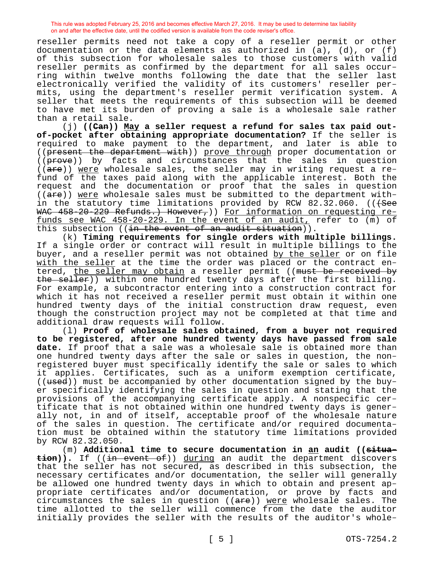reseller permits need not take a copy of a reseller permit or other documentation or the data elements as authorized in  $(a)$ ,  $(d)$ , or  $(f)$ of this subsection for wholesale sales to those customers with valid reseller permits as confirmed by the department for all sales occurring within twelve months following the date that the seller last electronically verified the validity of its customers' reseller permits, using the department's reseller permit verification system. A seller that meets the requirements of this subsection will be deemed to have met its burden of proving a sale is a wholesale sale rather than a retail sale.

(j) **((Can)) May a seller request a refund for sales tax paid outof-pocket after obtaining appropriate documentation?** If the seller is required to make payment to the department, and later is able to ((present the department with)) prove through proper documentation or ((prove)) by facts and circumstances that the sales in question  $((are))$  were wholesale sales, the seller may in writing request a refund of the taxes paid along with the applicable interest. Both the request and the documentation or proof that the sales in question ((are)) were wholesale sales must be submitted to the department within the statutory time limitations provided by RCW 82.32.060. (( $+$ See WAC 458-20-229 Refunds.) However, ) For information on requesting refunds see WAC 458-20-229. In the event of an audit, refer to (m) of this subsection ((in the event of an audit situation)).

(k) **Timing requirements for single orders with multiple billings.**  If a single order or contract will result in multiple billings to the buyer, and a reseller permit was not obtained by the seller or on file with the seller at the time the order was placed or the contract entered, the seller may obtain a reseller permit ((must be received by the seller)) within one hundred twenty days after the first billing. For example, a subcontractor entering into a construction contract for which it has not received a reseller permit must obtain it within one hundred twenty days of the initial construction draw request, even though the construction project may not be completed at that time and additional draw requests will follow.

(l) **Proof of wholesale sales obtained, from a buyer not required to be registered, after one hundred twenty days have passed from sale date.** If proof that a sale was a wholesale sale is obtained more than one hundred twenty days after the sale or sales in question, the nonregistered buyer must specifically identify the sale or sales to which it applies. Certificates, such as a uniform exemption certificate, ((used)) must be accompanied by other documentation signed by the buyer specifically identifying the sales in question and stating that the provisions of the accompanying certificate apply. A nonspecific certificate that is not obtained within one hundred twenty days is generally not, in and of itself, acceptable proof of the wholesale nature of the sales in question. The certificate and/or required documentation must be obtained within the statutory time limitations provided by RCW 82.32.050.

(m) **Additional time to secure documentation in an audit ((situation)).** If ((in event of)) during an audit the department discovers that the seller has not secured, as described in this subsection, the necessary certificates and/or documentation, the seller will generally be allowed one hundred twenty days in which to obtain and present appropriate certificates and/or documentation, or prove by facts and circumstances the sales in question ((<del>are</del>)) <u>were</u> wholesale sales. The time allotted to the seller will commence from the date the auditor initially provides the seller with the results of the auditor's whole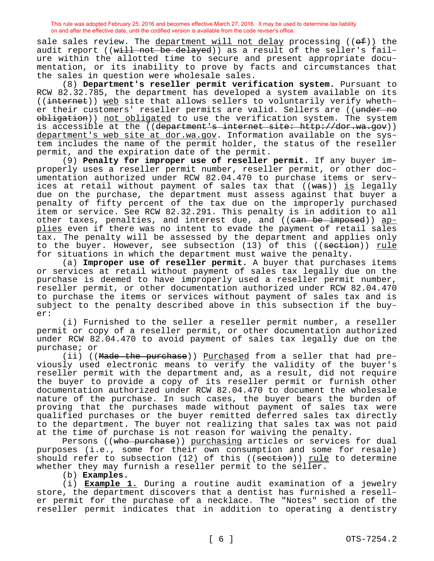sale sales review. The department will not delay processing ((of)) the audit report ((will not be delayed)) as a result of the seller's failure within the allotted time to secure and present appropriate documentation, or its inability to prove by facts and circumstances that the sales in question were wholesale sales.

(8) **Department's reseller permit verification system.** Pursuant to RCW 82.32.785, the department has developed a system available on its ((internet)) web site that allows sellers to voluntarily verify whether their customers' reseller permits are valid. Sellers are ((under no obligation)) not obligated to use the verification system. The system is accessible at the ((department's internet site: http://dor.wa.gov)) department's web site at dor.wa.gov. Information available on the system includes the name of the permit holder, the status of the reseller permit, and the expiration date of the permit.

(9) **Penalty for improper use of reseller permit.** If any buyer improperly uses a reseller permit number, reseller permit, or other documentation authorized under RCW 82.04.470 to purchase items or services at retail without payment of sales tax that ((was)) is legally due on the purchase, the department must assess against that buyer a penalty of fifty percent of the tax due on the improperly purchased item or service. See RCW 82.32.291. This penalty is in addition to all other taxes, penalties, and interest due, and ((<del>can be imposed</del>)) <u>ap-</u> plies even if there was no intent to evade the payment of retail sales tax. The penalty will be assessed by the department and applies only to the buyer. However, see subsection (13) of this ((section)) rule for situations in which the department must waive the penalty.

(a) **Improper use of reseller permit.** A buyer that purchases items or services at retail without payment of sales tax legally due on the purchase is deemed to have improperly used a reseller permit number, reseller permit, or other documentation authorized under RCW 82.04.470 to purchase the items or services without payment of sales tax and is subject to the penalty described above in this subsection if the buyer:

(i) Furnished to the seller a reseller permit number, a reseller permit or copy of a reseller permit, or other documentation authorized under RCW 82.04.470 to avoid payment of sales tax legally due on the purchase; or

(ii) ((Made the purchase)) Purchased from a seller that had previously used electronic means to verify the validity of the buyer's reseller permit with the department and, as a result, did not require the buyer to provide a copy of its reseller permit or furnish other documentation authorized under RCW 82.04.470 to document the wholesale nature of the purchase. In such cases, the buyer bears the burden of proving that the purchases made without payment of sales tax were qualified purchases or the buyer remitted deferred sales tax directly to the department. The buyer not realizing that sales tax was not paid at the time of purchase is not reason for waiving the penalty.

Persons ((who purchase)) purchasing articles or services for dual purposes (i.e., some for their own consumption and some for resale) should refer to subsection (12) of this ((section)) rule to determine whether they may furnish a reseller permit to the seller.

(b) **Examples.**

(i) **Example 1.** During a routine audit examination of a jewelry store, the department discovers that a dentist has furnished a reseller permit for the purchase of a necklace. The "Notes" section of the reseller permit indicates that in addition to operating a dentistry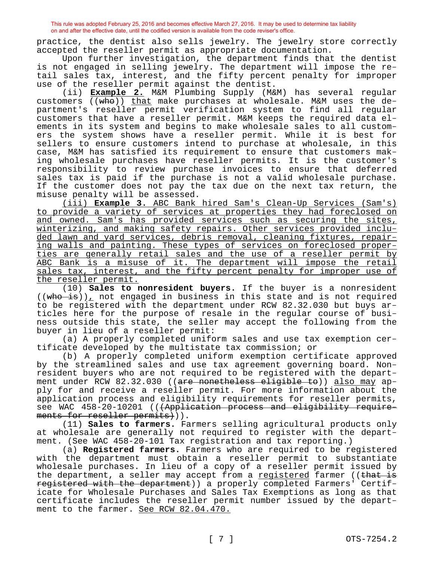practice, the dentist also sells jewelry. The jewelry store correctly accepted the reseller permit as appropriate documentation.

Upon further investigation, the department finds that the dentist is not engaged in selling jewelry. The department will impose the retail sales tax, interest, and the fifty percent penalty for improper use of the reseller permit against the dentist.

(ii) **Example 2.** M&M Plumbing Supply (M&M) has several regular customers ((who)) that make purchases at wholesale. M&M uses the department's reseller permit verification system to find all regular customers that have a reseller permit. M&M keeps the required data elements in its system and begins to make wholesale sales to all customers the system shows have a reseller permit. While it is best for sellers to ensure customers intend to purchase at wholesale, in this case, M&M has satisfied its requirement to ensure that customers making wholesale purchases have reseller permits. It is the customer's responsibility to review purchase invoices to ensure that deferred sales tax is paid if the purchase is not a valid wholesale purchase. If the customer does not pay the tax due on the next tax return, the misuse penalty will be assessed.

(iii) **Example 3.** ABC Bank hired Sam's Clean-Up Services (Sam's) to provide a variety of services at properties they had foreclosed on and owned. Sam's has provided services such as securing the sites, winterizing, and making safety repairs. Other services provided included lawn and yard services, debris removal, cleaning fixtures, repairing walls and painting. These types of services on foreclosed properties are generally retail sales and the use of a reseller permit by ABC Bank is a misuse of it. The department will impose the retail sales tax, interest, and the fifty percent penalty for improper use of the reseller permit.

(10) **Sales to nonresident buyers.** If the buyer is a nonresident  $((\text{who is}))_{\perp}$  not engaged in business in this state and is not required to be registered with the department under RCW 82.32.030 but buys articles here for the purpose of resale in the regular course of business outside this state, the seller may accept the following from the buyer in lieu of a reseller permit:

(a) A properly completed uniform sales and use tax exemption certificate developed by the multistate tax commission; or

(b) A properly completed uniform exemption certificate approved by the streamlined sales and use tax agreement governing board. Nonresident buyers who are not required to be registered with the department under RCW 82.32.030 ((are nonetheless eligible to)) also may apply for and receive a reseller permit. For more information about the application process and eligibility requirements for reseller permits, see WAC 458-20-10201 (((Application process and eligibility requirements for reseller permits))).

(11) **Sales to farmers.** Farmers selling agricultural products only at wholesale are generally not required to register with the department. (See WAC 458-20-101 Tax registration and tax reporting.)

(a) **Registered farmers.** Farmers who are required to be registered with the department must obtain a reseller permit to substantiate wholesale purchases. In lieu of a copy of a reseller permit issued by the department, a seller may accept from a registered farmer ((that is registered with the department)) a properly completed Farmers' Certificate for Wholesale Purchases and Sales Tax Exemptions as long as that certificate includes the reseller permit number issued by the department to the farmer. See RCW 82.04.470.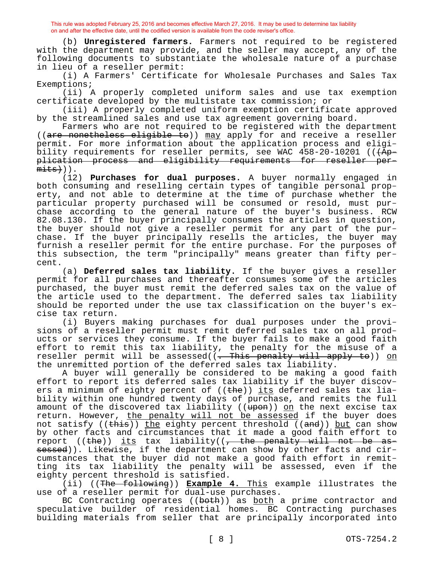(b) **Unregistered farmers.** Farmers not required to be registered with the department may provide, and the seller may accept, any of the following documents to substantiate the wholesale nature of a purchase in lieu of a reseller permit:

(i) A Farmers' Certificate for Wholesale Purchases and Sales Tax Exemptions;

(ii) A properly completed uniform sales and use tax exemption certificate developed by the multistate tax commission; or

(iii) A properly completed uniform exemption certificate approved by the streamlined sales and use tax agreement governing board.

Farmers who are not required to be registered with the department ((are nonetheless eligible to)) may apply for and receive a reseller permit. For more information about the application process and eligibility requirements for reseller permits, see WAC  $458-20-10201$  (( $\overline{4p-}$ plication process and eligibility requirements for reseller per $mits+)$ ).

(12) **Purchases for dual purposes.** A buyer normally engaged in both consuming and reselling certain types of tangible personal property, and not able to determine at the time of purchase whether the particular property purchased will be consumed or resold, must purchase according to the general nature of the buyer's business. RCW 82.08.130. If the buyer principally consumes the articles in question, the buyer should not give a reseller permit for any part of the purchase. If the buyer principally resells the articles, the buyer may furnish a reseller permit for the entire purchase. For the purposes of this subsection, the term "principally" means greater than fifty percent.

(a) **Deferred sales tax liability.** If the buyer gives a reseller permit for all purchases and thereafter consumes some of the articles purchased, the buyer must remit the deferred sales tax on the value of the article used to the department. The deferred sales tax liability should be reported under the use tax classification on the buyer's excise tax return.

(i) Buyers making purchases for dual purposes under the provisions of a reseller permit must remit deferred sales tax on all products or services they consume. If the buyer fails to make a good faith effort to remit this tax liability, the penalty for the misuse of a reseller permit will be assessed((<del>. This penalty will apply to</del>)) <u>on</u> the unremitted portion of the deferred sales tax liability.

A buyer will generally be considered to be making a good faith effort to report its deferred sales tax liability if the buyer discovers a minimum of eighty percent of ((the)) its deferred sales tax liability within one hundred twenty days of purchase, and remits the full amount of the discovered tax liability ((<del>upon</del>)) <u>on</u> the next excise tax return. However, <u>the penalty will not be assessed</u> if the buyer does not satisfy  $((\text{this}))$  the eighty percent threshold  $((\text{and}))$  but can show by other facts and circumstances that it made a good faith effort to report ((the)) its tax liability(( $\frac{1}{1}$  the penalty will not be assessed)). Likewise, if the department can show by other facts and circumstances that the buyer did not make a good faith effort in remitting its tax liability the penalty will be assessed, even if the eighty percent threshold is satisfied.

(ii) ((The following)) **Example 4.** This example illustrates the use of a reseller permit for dual-use purchases.

BC Contracting operates ((both)) as both a prime contractor and speculative builder of residential homes. BC Contracting purchases building materials from seller that are principally incorporated into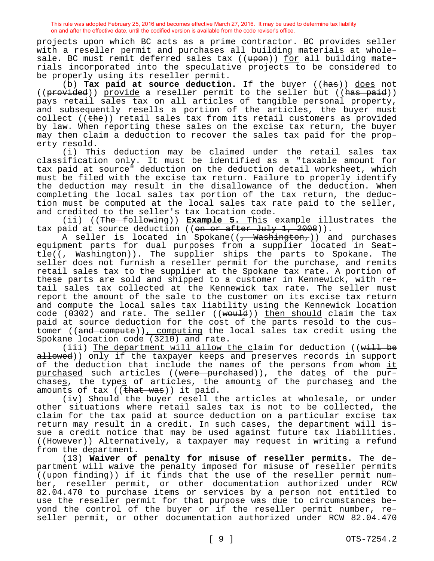projects upon which BC acts as a prime contractor. BC provides seller with a reseller permit and purchases all building materials at wholesale. BC must remit deferred sales tax ((upon)) for all building materials incorporated into the speculative projects to be considered to be properly using its reseller permit.

(b) **Tax paid at source deduction.** If the buyer ((has)) does not (( $\frac{1}{\text{provided}}$ ) provide a reseller permit to the seller but (( $\frac{1}{\text{has paid}}$ )) pays retail sales tax on all articles of tangible personal property, and subsequently resells a portion of the articles, the buyer must collect (( $t$ he)) retail sales tax from its retail customers as provided by law. When reporting these sales on the excise tax return, the buyer may then claim a deduction to recover the sales tax paid for the property resold.

(i) This deduction may be claimed under the retail sales tax classification only. It must be identified as a "taxable amount for tax paid at source" deduction on the deduction detail worksheet, which must be filed with the excise tax return. Failure to properly identify the deduction may result in the disallowance of the deduction. When completing the local sales tax portion of the tax return, the deduction must be computed at the local sales tax rate paid to the seller, and credited to the seller's tax location code.

(ii) ((The following)) **Example 5.** This example illustrates the tax paid at source deduction ((on or after July 1, 2008)).

A seller is located in Spokane((, Washington,)) and purchases equipment parts for dual purposes from a supplier located in Seat- $\text{tie}(\overline{(-\text{Washington})})$ . The supplier ships the parts to Spokane. The seller does not furnish a reseller permit for the purchase, and remits retail sales tax to the supplier at the Spokane tax rate. A portion of these parts are sold and shipped to a customer in Kennewick, with retail sales tax collected at the Kennewick tax rate. The seller must report the amount of the sale to the customer on its excise tax return and compute the local sales tax liability using the Kennewick location code ( $0.302$ ) and rate. The seller (( $woutd$ )) then should claim the tax paid at source deduction for the cost of the parts resold to the customer ((and compute)), computing the local sales tax credit using the Spokane location code (3210) and rate.

(iii) The department will allow the claim for deduction ((will be allowed)) only if the taxpayer keeps and preserves records in support of the deduction that include the names of the persons from whom it purchased such articles ((were purchased)), the dates of the purchases, the types of articles, the amounts of the purchases and the amounts of tax ((that was)) it paid.

(iv) Should the buyer resell the articles at wholesale, or under other situations where retail sales tax is not to be collected, the claim for the tax paid at source deduction on a particular excise tax return may result in a credit. In such cases, the department will issue a credit notice that may be used against future tax liabilities. ((However)) Alternatively, a taxpayer may request in writing a refund from the department.

(13) **Waiver of penalty for misuse of reseller permits.** The department will waive the penalty imposed for misuse of reseller permits ((upon finding)) if it finds that the use of the reseller permit number, reseller permit, or other documentation authorized under RCW 82.04.470 to purchase items or services by a person not entitled to use the reseller permit for that purpose was due to circumstances beyond the control of the buyer or if the reseller permit number, reseller permit, or other documentation authorized under RCW 82.04.470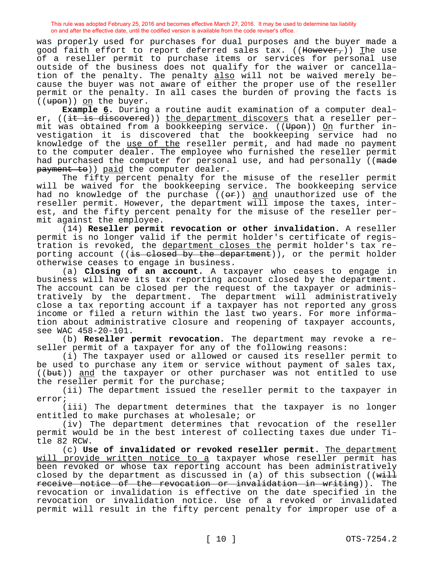was properly used for purchases for dual purposes and the buyer made a good faith effort to report deferred sales tax. ((However,)) The use of a reseller permit to purchase items or services for personal use outside of the business does not qualify for the waiver or cancellation of the penalty. The penalty also will not be waived merely because the buyer was not aware of either the proper use of the reseller permit or the penalty. In all cases the burden of proving the facts is ((upon)) on the buyer.

**Example 6.** During a routine audit examination of a computer dealer, ((it is discovered)) the department discovers that a reseller permit was obtained from a bookkeeping service. ((Upon)) On further investigation it is discovered that the bookkeeping service had no knowledge of the use of the reseller permit, and had made no payment to the computer dealer. The employee who furnished the reseller permit had purchased the computer for personal use, and had personally ((made payment to)) paid the computer dealer.

The fifty percent penalty for the misuse of the reseller permit will be waived for the bookkeeping service. The bookkeeping service had no knowledge of the purchase  $((e^p))$  and unauthorized use of the reseller permit. However, the department will impose the taxes, interest, and the fifty percent penalty for the misuse of the reseller permit against the employee.

(14) **Reseller permit revocation or other invalidation.** A reseller permit is no longer valid if the permit holder's certificate of registration is revoked, the department closes the permit holder's tax reporting account ((is closed by the department)), or the permit holder otherwise ceases to engage in business.

(a) **Closing of an account.** A taxpayer who ceases to engage in business will have its tax reporting account closed by the department. The account can be closed per the request of the taxpayer or administratively by the department. The department will administratively close a tax reporting account if a taxpayer has not reported any gross income or filed a return within the last two years. For more information about administrative closure and reopening of taxpayer accounts, see WAC 458-20-101.

(b) **Reseller permit revocation.** The department may revoke a reseller permit of a taxpayer for any of the following reasons:

(i) The taxpayer used or allowed or caused its reseller permit to be used to purchase any item or service without payment of sales tax, ((but)) and the taxpayer or other purchaser was not entitled to use the reseller permit for the purchase;

(ii) The department issued the reseller permit to the taxpayer in error;

(iii) The department determines that the taxpayer is no longer entitled to make purchases at wholesale; or

(iv) The department determines that revocation of the reseller permit would be in the best interest of collecting taxes due under Title 82 RCW.

(c) **Use of invalidated or revoked reseller permit.** The department will provide written notice to a taxpayer whose reseller permit has been revoked or whose tax reporting account has been administratively closed by the department as discussed in (a) of this subsection (( $w\text{-}11$ receive notice of the revocation or invalidation in writing)). The revocation or invalidation is effective on the date specified in the revocation or invalidation notice. Use of a revoked or invalidated permit will result in the fifty percent penalty for improper use of a